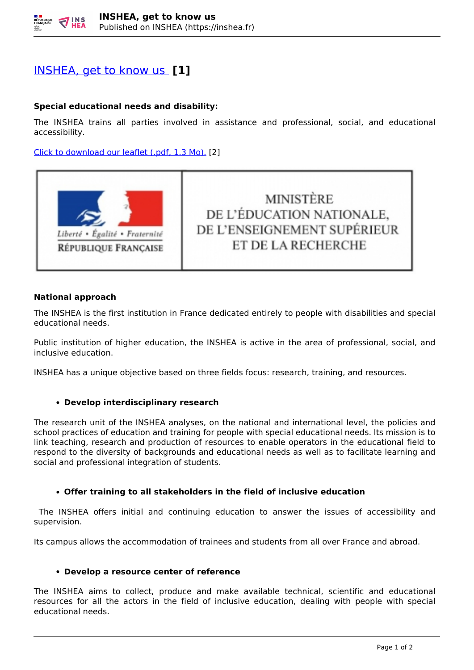# [INSHEA, get to know us](https://inshea.fr/en/content/ins-hea-get-know-us) **[1]**

## **Special educational needs and disability:**

The INSHEA trains all parties involved in assistance and professional, social, and educational accessibility.

[Click to download our leaflet \(.pdf, 1.3 Mo\).](https://www.inshea.fr/sites/default/files/www/sites/default/files/medias/Plaquette%20INSHEA%20Acc%20ENG.pdf#overlay-context=content/nous-conna%25C3%25AEtre) [2]



**MINISTÈRE** DE L'ÉDUCATION NATIONALE, DE L'ENSEIGNEMENT SUPÉRIEUR ET DE LA RECHERCHE

### **National approach**

The INSHEA is the first institution in France dedicated entirely to people with disabilities and special educational needs.

Public institution of higher education, the INSHEA is active in the area of professional, social, and inclusive education.

INSHEA has a unique objective based on three fields focus: research, training, and resources.

## **Develop interdisciplinary research**

The research unit of the INSHEA analyses, on the national and international level, the policies and school practices of education and training for people with special educational needs. Its mission is to link teaching, research and production of resources to enable operators in the educational field to respond to the diversity of backgrounds and educational needs as well as to facilitate learning and social and professional integration of students.

## **Offer training to all stakeholders in the field of inclusive education**

The INSHEA offers initial and continuing education to answer the issues of accessibility and supervision.

Its campus allows the accommodation of trainees and students from all over France and abroad.

#### **Develop a resource center of reference**

The INSHEA aims to collect, produce and make available technical, scientific and educational resources for all the actors in the field of inclusive education, dealing with people with special educational needs.